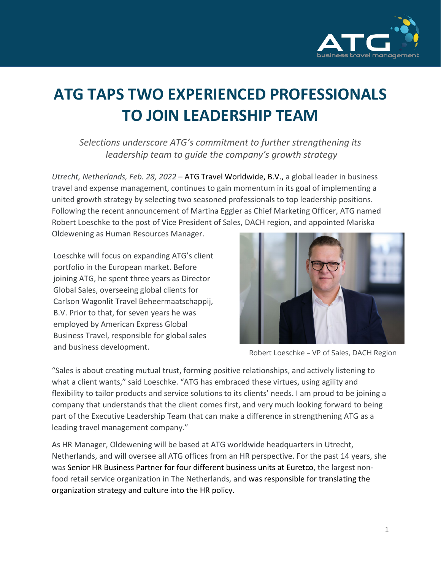

## **ATG TAPS TWO EXPERIENCED PROFESSIONALS TO JOIN LEADERSHIP TEAM**

*Selections underscore ATG's commitment to further strengthening its leadership team to guide the company's growth strategy*

*Utrecht, Netherlands, Feb. 28, 2022* – ATG Travel Worldwide, B.V., a global leader in business travel and expense management, continues to gain momentum in its goal of implementing a united growth strategy by selecting two seasoned professionals to top leadership positions. Following the recent announcement of Martina Eggler as Chief Marketing Officer, ATG named Robert Loeschke to the post of Vice President of Sales, DACH region, and appointed Mariska

Oldewening as Human Resources Manager.

Loeschke will focus on expanding ATG's client portfolio in the European market. Before joining ATG, he spent three years as Director Global Sales, overseeing global clients for Carlson Wagonlit Travel Beheermaatschappij, B.V. Prior to that, for seven years he was employed by American Express Global Business Travel, responsible for global sales and business development. The results of the Robert Loeschke – VP of Sales, DACH Region



"Sales is about creating mutual trust, forming positive relationships, and actively listening to what a client wants," said Loeschke. "ATG has embraced these virtues, using agility and flexibility to tailor products and service solutions to its clients' needs. I am proud to be joining a company that understands that the client comes first, and very much looking forward to being part of the Executive Leadership Team that can make a difference in strengthening ATG as a leading travel management company."

As HR Manager, Oldewening will be based at ATG worldwide headquarters in Utrecht, Netherlands, and will oversee all ATG offices from an HR perspective. For the past 14 years, she was Senior HR Business Partner for four different business units at Euretco, the largest nonfood retail service organization in The Netherlands, and was responsible for translating the organization strategy and culture into the HR policy.